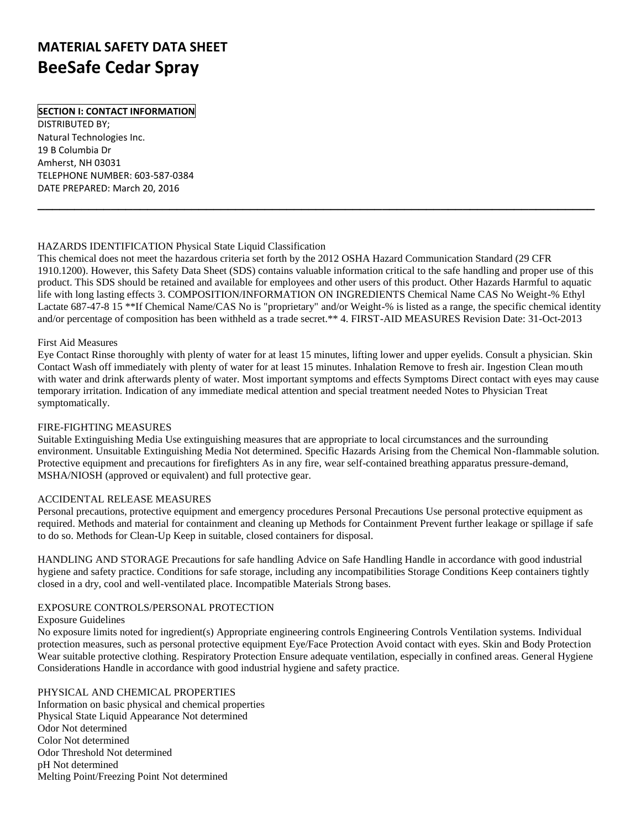# **MATERIAL SAFETY DATA SHEET BeeSafe Cedar Spray**

## **SECTION I: CONTACT INFORMATION**

DISTRIBUTED BY; Natural Technologies Inc. 19 B Columbia Dr Amherst, NH 03031 TELEPHONE NUMBER: 603-587-0384 DATE PREPARED: March 20, 2016

## HAZARDS IDENTIFICATION Physical State Liquid Classification

This chemical does not meet the hazardous criteria set forth by the 2012 OSHA Hazard Communication Standard (29 CFR 1910.1200). However, this Safety Data Sheet (SDS) contains valuable information critical to the safe handling and proper use of this product. This SDS should be retained and available for employees and other users of this product. Other Hazards Harmful to aquatic life with long lasting effects 3. COMPOSITION/INFORMATION ON INGREDIENTS Chemical Name CAS No Weight-% Ethyl Lactate 687-47-8 15 \*\*If Chemical Name/CAS No is "proprietary" and/or Weight-% is listed as a range, the specific chemical identity and/or percentage of composition has been withheld as a trade secret.\*\* 4. FIRST-AID MEASURES Revision Date: 31-Oct-2013

**\_\_\_\_\_\_\_\_\_\_\_\_\_\_\_\_\_\_\_\_\_\_\_\_\_\_\_\_\_\_\_\_\_\_\_\_\_\_\_\_\_\_\_\_\_\_\_\_\_\_\_\_\_\_\_\_\_\_\_\_\_\_\_\_\_\_\_\_\_\_\_\_\_\_\_\_**

#### First Aid Measures

Eye Contact Rinse thoroughly with plenty of water for at least 15 minutes, lifting lower and upper eyelids. Consult a physician. Skin Contact Wash off immediately with plenty of water for at least 15 minutes. Inhalation Remove to fresh air. Ingestion Clean mouth with water and drink afterwards plenty of water. Most important symptoms and effects Symptoms Direct contact with eyes may cause temporary irritation. Indication of any immediate medical attention and special treatment needed Notes to Physician Treat symptomatically.

### FIRE-FIGHTING MEASURES

Suitable Extinguishing Media Use extinguishing measures that are appropriate to local circumstances and the surrounding environment. Unsuitable Extinguishing Media Not determined. Specific Hazards Arising from the Chemical Non-flammable solution. Protective equipment and precautions for firefighters As in any fire, wear self-contained breathing apparatus pressure-demand, MSHA/NIOSH (approved or equivalent) and full protective gear.

### ACCIDENTAL RELEASE MEASURES

Personal precautions, protective equipment and emergency procedures Personal Precautions Use personal protective equipment as required. Methods and material for containment and cleaning up Methods for Containment Prevent further leakage or spillage if safe to do so. Methods for Clean-Up Keep in suitable, closed containers for disposal.

HANDLING AND STORAGE Precautions for safe handling Advice on Safe Handling Handle in accordance with good industrial hygiene and safety practice. Conditions for safe storage, including any incompatibilities Storage Conditions Keep containers tightly closed in a dry, cool and well-ventilated place. Incompatible Materials Strong bases.

### EXPOSURE CONTROLS/PERSONAL PROTECTION

#### Exposure Guidelines

No exposure limits noted for ingredient(s) Appropriate engineering controls Engineering Controls Ventilation systems. Individual protection measures, such as personal protective equipment Eye/Face Protection Avoid contact with eyes. Skin and Body Protection Wear suitable protective clothing. Respiratory Protection Ensure adequate ventilation, especially in confined areas. General Hygiene Considerations Handle in accordance with good industrial hygiene and safety practice.

### PHYSICAL AND CHEMICAL PROPERTIES

Information on basic physical and chemical properties Physical State Liquid Appearance Not determined Odor Not determined Color Not determined Odor Threshold Not determined pH Not determined Melting Point/Freezing Point Not determined